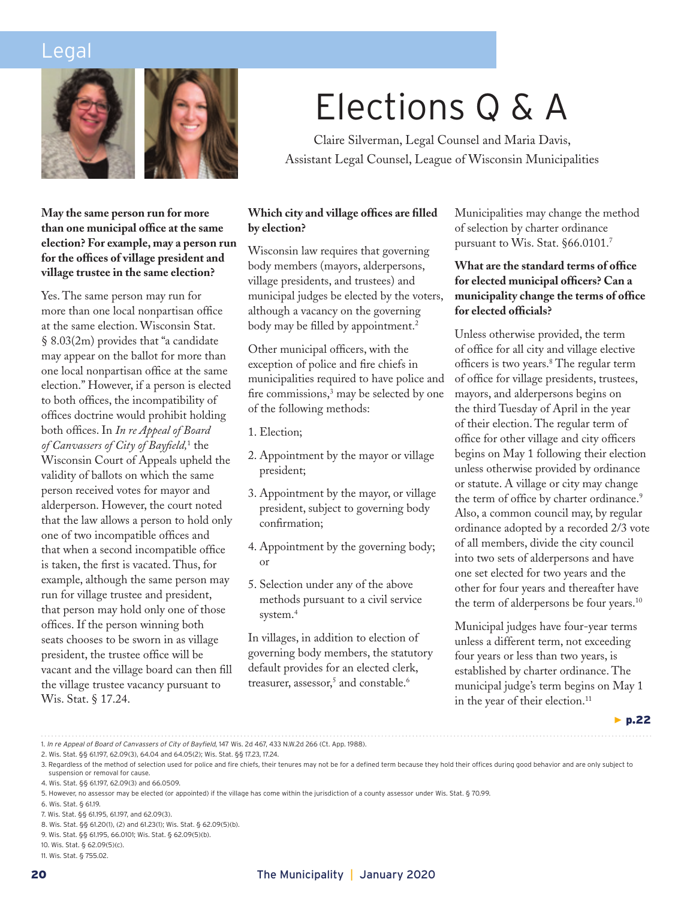### Legal





#### **May the same person run for more than one municipal office at the same election? For example, may a person run for the offices of village president and village trustee in the same election?**

Yes. The same person may run for more than one local nonpartisan office at the same election. Wisconsin Stat. § 8.03(2m) provides that "a candidate may appear on the ballot for more than one local nonpartisan office at the same election." However, if a person is elected to both offices, the incompatibility of offices doctrine would prohibit holding both offices. In *In re Appeal of Board of Canvassers of City of Bayfield,*<sup>1</sup> the Wisconsin Court of Appeals upheld the validity of ballots on which the same person received votes for mayor and alderperson. However, the court noted that the law allows a person to hold only one of two incompatible offices and that when a second incompatible office is taken, the first is vacated. Thus, for example, although the same person may run for village trustee and president, that person may hold only one of those offices. If the person winning both seats chooses to be sworn in as village president, the trustee office will be vacant and the village board can then fill the village trustee vacancy pursuant to Wis. Stat. § 17.24.

# Elections Q & A

Claire Silverman, Legal Counsel and Maria Davis, Assistant Legal Counsel, League of Wisconsin Municipalities

#### **Which city and village offices are filled by election?**

Wisconsin law requires that governing body members (mayors, alderpersons, village presidents, and trustees) and municipal judges be elected by the voters, although a vacancy on the governing body may be filled by appointment.<sup>2</sup>

Other municipal officers, with the exception of police and fire chiefs in municipalities required to have police and fire commissions,<sup>3</sup> may be selected by one of the following methods:

- 1. Election;
- 2. Appointment by the mayor or village president;
- 3. Appointment by the mayor, or village president, subject to governing body confirmation;
- 4. Appointment by the governing body; or
- 5. Selection under any of the above methods pursuant to a civil service system.<sup>4</sup>

In villages, in addition to election of governing body members, the statutory default provides for an elected clerk, treasurer, assessor, $^5$  and constable. $^6$ 

Municipalities may change the method of selection by charter ordinance pursuant to Wis. Stat. §66.0101.7

#### **What are the standard terms of office for elected municipal officers? Can a municipality change the terms of office for elected officials?**

Unless otherwise provided, the term of office for all city and village elective officers is two years.8 The regular term of office for village presidents, trustees, mayors, and alderpersons begins on the third Tuesday of April in the year of their election. The regular term of office for other village and city officers begins on May 1 following their election unless otherwise provided by ordinance or statute. A village or city may change the term of office by charter ordinance.<sup>9</sup> Also, a common council may, by regular ordinance adopted by a recorded 2/3 vote of all members, divide the city council into two sets of alderpersons and have one set elected for two years and the other for four years and thereafter have the term of alderpersons be four years.10

Municipal judges have four-year terms unless a different term, not exceeding four years or less than two years, is established by charter ordinance. The municipal judge's term begins on May 1 in the year of their election.<sup>11</sup>

▶ p.22

<sup>1.</sup> *In re Appeal of Board of Canvassers of City of Bayfield*, 147 Wis. 2d 467, 433 N.W.2d 266 (Ct. App. 1988).

<sup>2.</sup> Wis. Stat. §§ 61.197, 62.09(3), 64.04 and 64.05(2); Wis. Stat. §§ 17.23, 17.24.

<sup>3.</sup> Regardless of the method of selection used for police and fire chiefs, their tenures may not be for a defined term because they hold their offices during good behavior and are only subject to suspension or removal for cause.

<sup>4.</sup> Wis. Stat. §§ 61.197, 62.09(3) and 66.0509.

<sup>5.</sup> However, no assessor may be elected (or appointed) if the village has come within the jurisdiction of a county assessor under Wis. Stat. § 70.99.

<sup>6.</sup> Wis. Stat. § 61.19.

<sup>7.</sup> Wis. Stat. §§ 61.195, 61.197, and 62.09(3).

<sup>8.</sup> Wis. Stat. §§ 61.20(1), (2) and 61.23(1); Wis. Stat. § 62.09(5)(b).

<sup>9.</sup> Wis. Stat. §§ 61.195, 66.0101; Wis. Stat. § 62.09(5)(b).

<sup>10.</sup> Wis. Stat. § 62.09(5)(c).

<sup>11.</sup> Wis. Stat. § 755.02.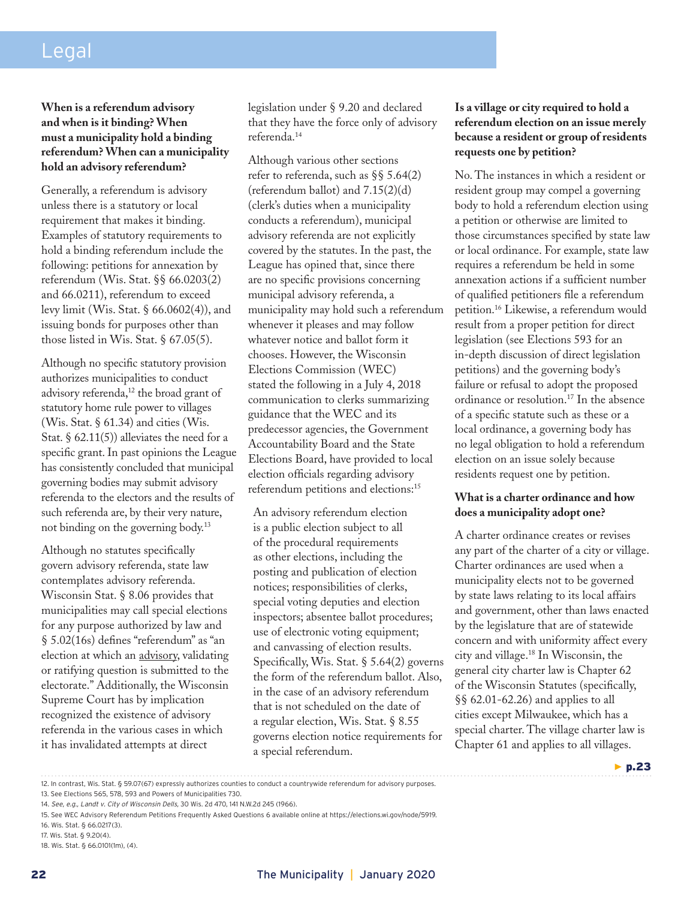## Legal

#### **When is a referendum advisory and when is it binding? When must a municipality hold a binding referendum? When can a municipality hold an advisory referendum?**

Generally, a referendum is advisory unless there is a statutory or local requirement that makes it binding. Examples of statutory requirements to hold a binding referendum include the following: petitions for annexation by referendum (Wis. Stat. §§ 66.0203(2) and 66.0211), referendum to exceed levy limit (Wis. Stat. § 66.0602(4)), and issuing bonds for purposes other than those listed in Wis. Stat. § 67.05(5).

Although no specific statutory provision authorizes municipalities to conduct advisory referenda,<sup>12</sup> the broad grant of statutory home rule power to villages (Wis. Stat.  $\S$  61.34) and cities (Wis. Stat.  $\S$  62.11(5)) alleviates the need for a specific grant. In past opinions the League has consistently concluded that municipal governing bodies may submit advisory referenda to the electors and the results of such referenda are, by their very nature, not binding on the governing body.13

Although no statutes specifically govern advisory referenda, state law contemplates advisory referenda. Wisconsin Stat. § 8.06 provides that municipalities may call special elections for any purpose authorized by law and § 5.02(16s) defines "referendum" as "an election at which an advisory, validating or ratifying question is submitted to the electorate." Additionally, the Wisconsin Supreme Court has by implication recognized the existence of advisory referenda in the various cases in which it has invalidated attempts at direct

legislation under § 9.20 and declared that they have the force only of advisory referenda.14

Although various other sections refer to referenda, such as §§ 5.64(2) (referendum ballot) and 7.15(2)(d) (clerk's duties when a municipality conducts a referendum), municipal advisory referenda are not explicitly covered by the statutes. In the past, the League has opined that, since there are no specific provisions concerning municipal advisory referenda, a municipality may hold such a referendum whenever it pleases and may follow whatever notice and ballot form it chooses. However, the Wisconsin Elections Commission (WEC) stated the following in a July 4, 2018 communication to clerks summarizing guidance that the WEC and its predecessor agencies, the Government Accountability Board and the State Elections Board, have provided to local election officials regarding advisory referendum petitions and elections:15

An advisory referendum election is a public election subject to all of the procedural requirements as other elections, including the posting and publication of election notices; responsibilities of clerks, special voting deputies and election inspectors; absentee ballot procedures; use of electronic voting equipment; and canvassing of election results. Specifically, Wis. Stat. § 5.64(2) governs the form of the referendum ballot. Also, in the case of an advisory referendum that is not scheduled on the date of a regular election, Wis. Stat. § 8.55 governs election notice requirements for a special referendum.

#### **Is a village or city required to hold a referendum election on an issue merely because a resident or group of residents requests one by petition?**

No. The instances in which a resident or resident group may compel a governing body to hold a referendum election using a petition or otherwise are limited to those circumstances specified by state law or local ordinance. For example, state law requires a referendum be held in some annexation actions if a sufficient number of qualified petitioners file a referendum petition.16 Likewise, a referendum would result from a proper petition for direct legislation (see Elections 593 for an in-depth discussion of direct legislation petitions) and the governing body's failure or refusal to adopt the proposed ordinance or resolution.<sup>17</sup> In the absence of a specific statute such as these or a local ordinance, a governing body has no legal obligation to hold a referendum election on an issue solely because residents request one by petition.

#### **What is a charter ordinance and how does a municipality adopt one?**

A charter ordinance creates or revises any part of the charter of a city or village. Charter ordinances are used when a municipality elects not to be governed by state laws relating to its local affairs and government, other than laws enacted by the legislature that are of statewide concern and with uniformity affect every city and village.18 In Wisconsin, the general city charter law is Chapter 62 of the Wisconsin Statutes (specifically, §§ 62.01-62.26) and applies to all cities except Milwaukee, which has a special charter. The village charter law is Chapter 61 and applies to all villages.



14. *See, e.g., Landt v. City of Wisconsin Dells,* 30 Wis. 2d 470, 141 N.W.2d 245 (1966).

- 16. Wis. Stat. § 66.0217(3).
- 17. Wis. Stat. § 9.20(4).
- 18. Wis. Stat. § 66.0101(1m), (4).

<sup>12.</sup> In contrast, Wis. Stat. § 59.07(67) expressly authorizes counties to conduct a countrywide referendum for advisory purposes.

<sup>13.</sup> See Elections 565, 578, 593 and Powers of Municipalities 730.

<sup>15.</sup> See WEC Advisory Referendum Petitions Frequently Asked Questions 6 available online at https://elections.wi.gov/node/5919.